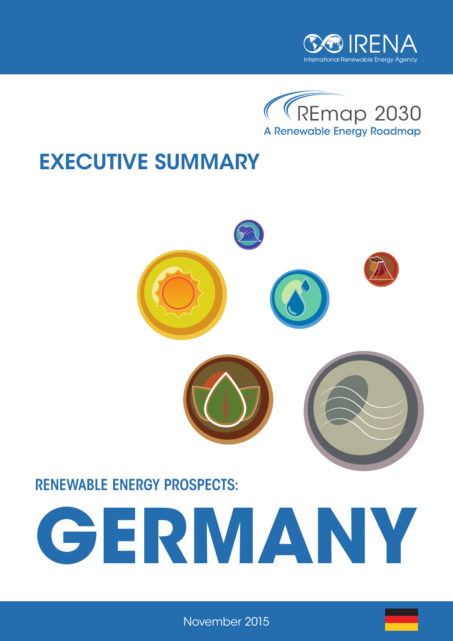



# EXECUTIVE SUMMARY



## RENEWABLE ENERGY PROSPECTS:



November 2015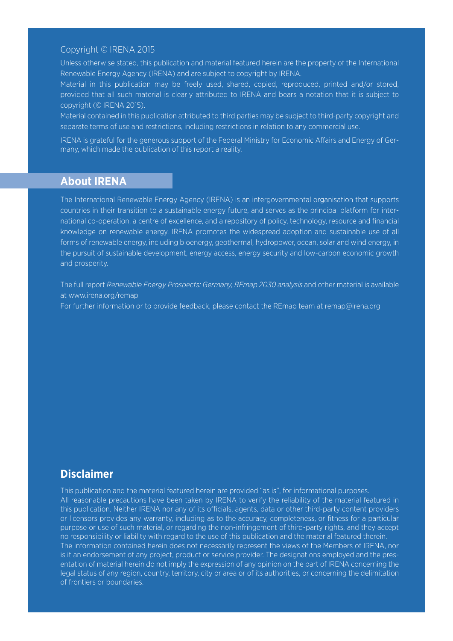#### Copyright © IRENA 2015

Unless otherwise stated, this publication and material featured herein are the property of the International Renewable Energy Agency (IRENA) and are subject to copyright by IRENA.

Material in this publication may be freely used, shared, copied, reproduced, printed and/or stored, provided that all such material is clearly attributed to IRENA and bears a notation that it is subject to copyright (© IRENA 2015).

Material contained in this publication attributed to third parties may be subject to third-party copyright and separate terms of use and restrictions, including restrictions in relation to any commercial use.

IRENA is grateful for the generous support of the Federal Ministry for Economic Affairs and Energy of Germany, which made the publication of this report a reality.

#### **About IRENA**

The International Renewable Energy Agency (IRENA) is an intergovernmental organisation that supports countries in their transition to a sustainable energy future, and serves as the principal platform for international co-operation, a centre of excellence, and a repository of policy, technology, resource and financial knowledge on renewable energy. IRENA promotes the widespread adoption and sustainable use of all forms of renewable energy, including bioenergy, geothermal, hydropower, ocean, solar and wind energy, in the pursuit of sustainable development, energy access, energy security and low-carbon economic growth and prosperity.

The full report *Renewable Energy Prospects: Germany, REmap 2030 analysis* and other material is available at www.irena.org/remap

For further information or to provide feedback, please contact the REmap team at remap@irena.org

#### **Disclaimer**

This publication and the material featured herein are provided "as is", for informational purposes. All reasonable precautions have been taken by IRENA to verify the reliability of the material featured in this publication. Neither IRENA nor any of its officials, agents, data or other third-party content providers or licensors provides any warranty, including as to the accuracy, completeness, or fitness for a particular purpose or use of such material, or regarding the non-infringement of third-party rights, and they accept no responsibility or liability with regard to the use of this publication and the material featured therein. The information contained herein does not necessarily represent the views of the Members of IRENA, nor is it an endorsement of any project, product or service provider. The designations employed and the presentation of material herein do not imply the expression of any opinion on the part of IRENA concerning the legal status of any region, country, territory, city or area or of its authorities, or concerning the delimitation of frontiers or boundaries.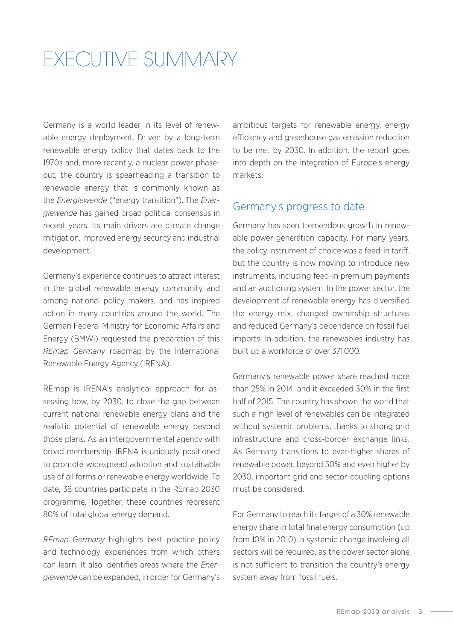## EXECUTIVE SUMMARY

Germany is a world leader in its level of renewable energy deployment. Driven by a long-term renewable energy policy that dates back to the 1970s and, more recently, a nuclear power phaseout, the country is spearheading a transition to renewable energy that is commonly known as the *Energiewende* ("energy transition"). The *Energiewende* has gained broad political consensus in recent years. Its main drivers are climate change mitigation, improved energy security and industrial development.

Germany's experience continues to attract interest in the global renewable energy community and among national policy makers, and has inspired action in many countries around the world. The German Federal Ministry for Economic Affairs and Energy (BMWi) requested the preparation of this *REmap Germany* roadmap by the International Renewable Energy Agency (IRENA).

REmap is IRENA's analytical approach for assessing how, by 2030, to close the gap between current national renewable energy plans and the realistic potential of renewable energy beyond those plans. As an intergovernmental agency with broad membership, IRENA is uniquely positioned to promote widespread adoption and sustainable use of all forms or renewable energy worldwide. To date, 38 countries participate in the REmap 2030 programme. Together, these countries represent 80% of total global energy demand.

*REmap Germany* highlights best practice policy and technology experiences from which others can learn. It also identifies areas where the *Energiewende* can be expanded, in order for Germany's ambitious targets for renewable energy, energy efficiency and greenhouse gas emission reduction to be met by 2030. In addition, the report goes into depth on the integration of Europe's energy markets.

#### Germany's progress to date

Germany has seen tremendous growth in renewable power generation capacity. For many years, the policy instrument of choice was a feed-in tariff, but the country is now moving to introduce new instruments, including feed-in premium payments and an auctioning system. In the power sector, the development of renewable energy has diversified the energy mix, changed ownership structures and reduced Germany's dependence on fossil fuel imports. In addition, the renewables industry has built up a workforce of over 371 000.

Germany's renewable power share reached more than 25% in 2014, and it exceeded 30% in the first half of 2015. The country has shown the world that such a high level of renewables can be integrated without systemic problems, thanks to strong grid infrastructure and cross-border exchange links. As Germany transitions to ever-higher shares of renewable power, beyond 50% and even higher by 2030, important grid and sector-coupling options must be considered.

For Germany to reach its target of a 30% renewable energy share in total final energy consumption (up from 10% in 2010), a systemic change involving all sectors will be required, as the power sector alone is not sufficient to transition the country's energy system away from fossil fuels.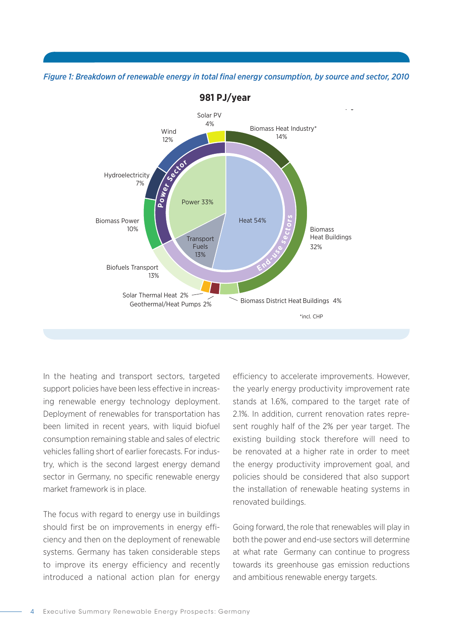#### *Figure 1: Breakdown of renewable energy in total final energy consumption, by source and sector, 2010*



In the heating and transport sectors, targeted support policies have been less effective in increas-<br>the ing renewable energy technology deployment. Deployment of renewables for transportation has been limited in recent years, with liquid biofuel Deployment of renewables for transportation has<br>been limited in recent years, with liquid biofuel<br>consumption remaining stable and sales of electric vehicles falling short of earlier forecasts. For indus-**o w P t** try, which is the second largest energy demand the e sector in Germany, no specific renewable energy market framework is in place. limited in recent years energy demand any no specific renewable er  $y, 1$ **n**g **i**<br>Depl<br>peen **e**<br>e.

The focus with regard to energy use in buildings should first be on improvements in energy efficiency and then on the deployment of renewable both systems. Germany has taken considerable steps at wh to improve its energy efficiency and recently introduced a national action plan for energy 11% The focus with regard to energy use in buildin  $\mathbb{B}_{\mathbb{B}}$  Transport Transport  $\mathbb{B}_{\mathbb{B}}$  $\ln$  $\frac{1}{2}$ 

efficiency to accelerate improvements. However, the yearly energy productivity improvement rate stands at 1.6%, compared to the target rate of 2.1%. In addition, current renovation rates repre-19% sent roughly half of the 2% per year target. The existing building stock therefore will need to be renovated at a higher rate in order to meet **or s** the energy productivity improvement goal, and **t** policies should be considered that also support the installation of renewable heating systems in renovated buildings. renovated buildings. ld be considere Geothermal/Heat Pumps 4% Geothermal/Heat Pumps 4%

> Going forward, the role that renewables will play in both the power and end-use sectors will determine at what rate Germany can continue to progress towards its greenhouse gas emission reductions and ambitious renewable energy targets.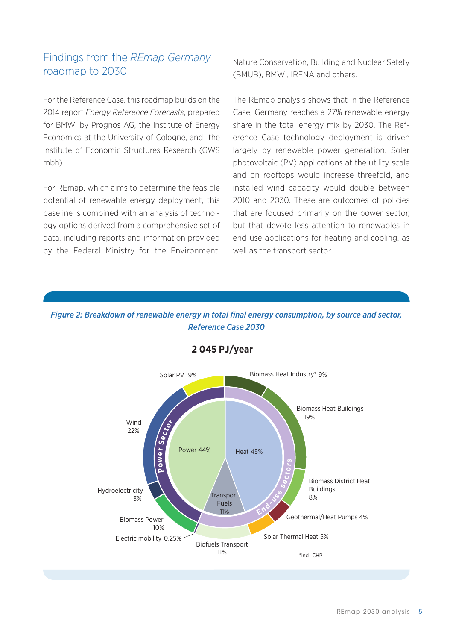#### Findings from the *REmap Germany* roadmap to 2030

For the Reference Case, this roadmap builds on the 2014 report *Energy Reference Forecasts*, prepared Case for BMWi by Prognos AG, the Institute of Energy Economics at the University of Cologne, and the Institute of Economic Structures Research (GWS mbh). at the University of Colog  $+1$ 

For REmap, which aims to determine the feasible **Sector** Hydroelectricity potential of renewable energy deployment, this baseline is combined with an analysis of technol**o**gy options derived from a comprehensive set of data, including reports and information provided by the Federal Ministry for the Environment,  $rac{3}{2}$ Endor **Example 2018** and information provided to the Environment 7% **Sector** Fuels

Solar Thermal Heat 2%

Solar Thermal Heat 2%

Nature Conservation, Building and Nuclear Safety (BMUB), BMWi, IRENA and others.

The REmap analysis shows that in the Reference Case, Germany reaches a 27% renewable energy share in the total energy mix by 2030. The Reference Case technology deployment is driven largely by renewable power generation. Solar photovoltaic (PV) applications at the utility scale and on rooftops would increase threefold, and installed wind capacity would double between 2010 and 2030. These are outcomes of policies that are focused primarily on the power sector, but that devote less attention to renewables in end-use applications for heating and cooling, as well as the transport sector. **s**<br>ansport sec

#### Figure 2: Breakdown of renewable energy in total final energy consumption, by source and sector, *Reference Case 2030*



### **Reference Case 2030 – 2 045 PJ/year Reference Case 2030 – 1 963 PJ/year**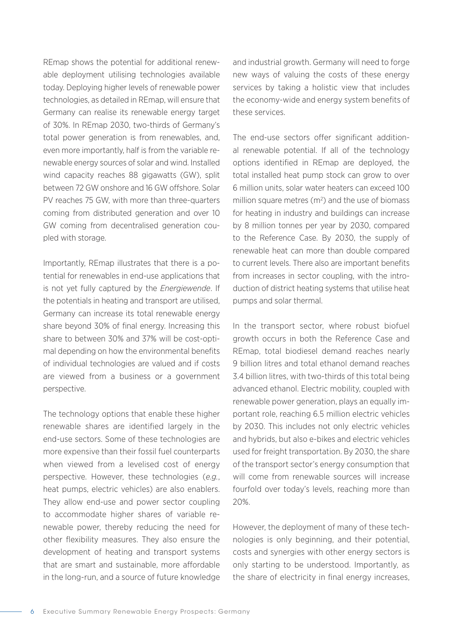REmap shows the potential for additional renewable deployment utilising technologies available today. Deploying higher levels of renewable power technologies, as detailed in REmap, will ensure that Germany can realise its renewable energy target of 30%. In REmap 2030, two-thirds of Germany's total power generation is from renewables, and, even more importantly, half is from the variable renewable energy sources of solar and wind. Installed wind capacity reaches 88 gigawatts (GW), split between 72 GW onshore and 16 GW offshore. Solar PV reaches 75 GW, with more than three-quarters coming from distributed generation and over 10 GW coming from decentralised generation coupled with storage.

Importantly, REmap illustrates that there is a potential for renewables in end-use applications that is not yet fully captured by the *Energiewende*. If the potentials in heating and transport are utilised, Germany can increase its total renewable energy share beyond 30% of final energy. Increasing this share to between 30% and 37% will be cost-optimal depending on how the environmental benefits of individual technologies are valued and if costs are viewed from a business or a government perspective.

The technology options that enable these higher renewable shares are identified largely in the end-use sectors. Some of these technologies are more expensive than their fossil fuel counterparts when viewed from a levelised cost of energy perspective. However, these technologies (*e.g.*, heat pumps, electric vehicles) are also enablers. They allow end-use and power sector coupling to accommodate higher shares of variable renewable power, thereby reducing the need for other flexibility measures. They also ensure the development of heating and transport systems that are smart and sustainable, more affordable in the long-run, and a source of future knowledge and industrial growth. Germany will need to forge new ways of valuing the costs of these energy services by taking a holistic view that includes the economy-wide and energy system benefits of these services.

The end-use sectors offer significant additional renewable potential. If all of the technology options identified in REmap are deployed, the total installed heat pump stock can grow to over 6 million units, solar water heaters can exceed 100 million square metres  $(m^2)$  and the use of biomass for heating in industry and buildings can increase by 8 million tonnes per year by 2030, compared to the Reference Case. By 2030, the supply of renewable heat can more than double compared to current levels. There also are important benefits from increases in sector coupling, with the introduction of district heating systems that utilise heat pumps and solar thermal.

In the transport sector, where robust biofuel growth occurs in both the Reference Case and REmap, total biodiesel demand reaches nearly 9 billion litres and total ethanol demand reaches 3.4 billion litres, with two-thirds of this total being advanced ethanol. Electric mobility, coupled with renewable power generation, plays an equally important role, reaching 6.5 million electric vehicles by 2030. This includes not only electric vehicles and hybrids, but also e-bikes and electric vehicles used for freight transportation. By 2030, the share of the transport sector's energy consumption that will come from renewable sources will increase fourfold over today's levels, reaching more than 20%.

However, the deployment of many of these technologies is only beginning, and their potential, costs and synergies with other energy sectors is only starting to be understood. Importantly, as the share of electricity in final energy increases,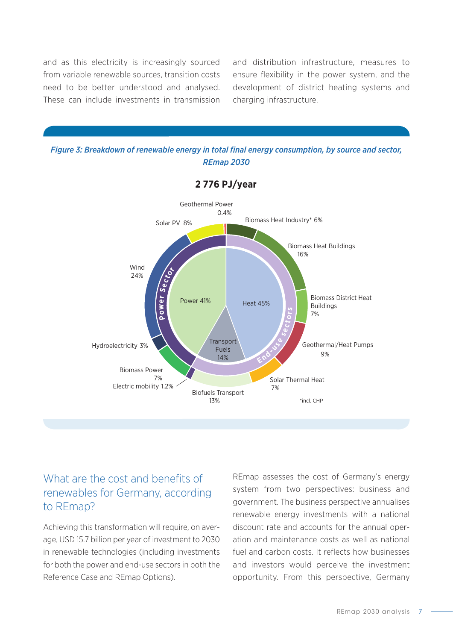and as this electricity is increasingly sourced from variable renewable sources, transition costs need to be better understood and analysed. **P o sec t** These can include investments in transmission Buildings **End- <sup>u</sup>s<sup>e</sup>**  $\mathbf{v}$  rom variable renewable sources, tran **er Sector h**<br>and as this electricity is ine aas nii

Biomass Power

10%

charging infrastructure. ensure flexibility in the power system, and the alysed. I development of district heating systems and and distribution infrastructure, measures to

 $G_{\rm eff}$  Geot $\mu$   $\sim$   $G_{\rm eff}$   $\sim$   $G_{\rm eff}$   $\sim$   $G_{\rm eff}$   $\sim$ 



Fuels

 $G_{\rm eff}$  Geothermal  $H_{\rm eff}$  and  $H_{\rm eff}$   $\sim$ 

**End- <sup>u</sup>s<sup>e</sup>**



**REmap 2030 – 2 776 PJ/year**

#### What are the cost and benefits of renewables for Germany, according to REmap?

Achieving this transformation will require, on average, USD 15.7 billion per year of investment to 2030 in renewable technologies (including investments for both the power and end-use sectors in both the Reference Case and REmap Options).

REmap assesses the cost of Germany's energy system from two perspectives: business and government. The business perspective annualises renewable energy investments with a national discount rate and accounts for the annual operation and maintenance costs as well as national fuel and carbon costs. It reflects how businesses and investors would perceive the investment opportunity. From this perspective, Germany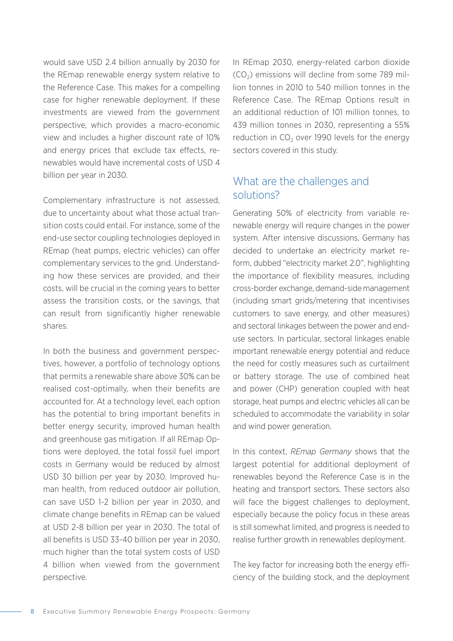would save USD 2.4 billion annually by 2030 for the REmap renewable energy system relative to the Reference Case. This makes for a compelling case for higher renewable deployment. If these investments are viewed from the government perspective, which provides a macro-economic view and includes a higher discount rate of 10% and energy prices that exclude tax effects, renewables would have incremental costs of USD 4 billion per year in 2030.

Complementary infrastructure is not assessed, due to uncertainty about what those actual transition costs could entail. For instance, some of the end-use sector coupling technologies deployed in REmap (heat pumps, electric vehicles) can offer complementary services to the grid. Understanding how these services are provided, and their costs, will be crucial in the coming years to better assess the transition costs, or the savings, that can result from significantly higher renewable shares.

In both the business and government perspectives, however, a portfolio of technology options that permits a renewable share above 30% can be realised cost-optimally, when their benefits are accounted for. At a technology level, each option has the potential to bring important benefits in better energy security, improved human health and greenhouse gas mitigation. If all REmap Options were deployed, the total fossil fuel import costs in Germany would be reduced by almost USD 30 billion per year by 2030. Improved human health, from reduced outdoor air pollution, can save USD 1-2 billion per year in 2030, and climate change benefits in REmap can be valued at USD 2-8 billion per year in 2030. The total of all benefits is USD 33-40 billion per year in 2030, much higher than the total system costs of USD 4 billion when viewed from the government perspective.

In REmap 2030, energy-related carbon dioxide  $(CO<sub>2</sub>)$  emissions will decline from some 789 million tonnes in 2010 to 540 million tonnes in the Reference Case. The REmap Options result in an additional reduction of 101 million tonnes, to 439 million tonnes in 2030, representing a 55% reduction in  $CO<sub>2</sub>$  over 1990 levels for the energy sectors covered in this study.

### What are the challenges and solutions?

Generating 50% of electricity from variable renewable energy will require changes in the power system. After intensive discussions, Germany has decided to undertake an electricity market reform, dubbed "electricity market 2.0", highlighting the importance of flexibility measures, including cross-border exchange, demand-side management (including smart grids/metering that incentivises customers to save energy, and other measures) and sectoral linkages between the power and enduse sectors. In particular, sectoral linkages enable important renewable energy potential and reduce the need for costly measures such as curtailment or battery storage. The use of combined heat and power (CHP) generation coupled with heat storage, heat pumps and electric vehicles all can be scheduled to accommodate the variability in solar and wind power generation.

In this context, *REmap Germany* shows that the largest potential for additional deployment of renewables beyond the Reference Case is in the heating and transport sectors. These sectors also will face the biggest challenges to deployment, especially because the policy focus in these areas is still somewhat limited, and progress is needed to realise further growth in renewables deployment.

The key factor for increasing both the energy efficiency of the building stock, and the deployment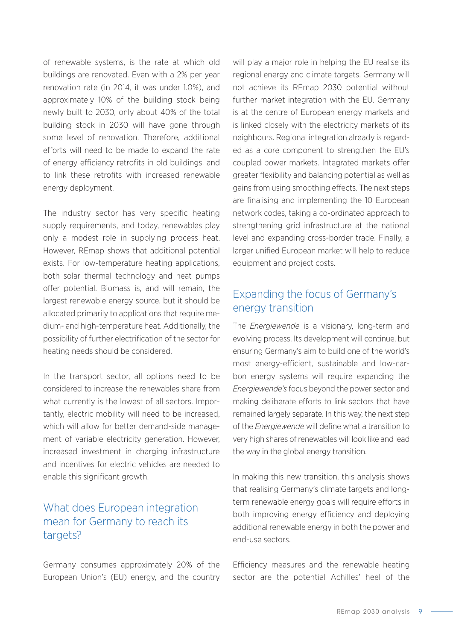of renewable systems, is the rate at which old buildings are renovated. Even with a 2% per year renovation rate (in 2014, it was under 1.0%), and approximately 10% of the building stock being newly built to 2030, only about 40% of the total building stock in 2030 will have gone through some level of renovation. Therefore, additional efforts will need to be made to expand the rate of energy efficiency retrofits in old buildings, and to link these retrofits with increased renewable energy deployment.

The industry sector has very specific heating supply requirements, and today, renewables play only a modest role in supplying process heat. However, REmap shows that additional potential exists. For low-temperature heating applications, both solar thermal technology and heat pumps offer potential. Biomass is, and will remain, the largest renewable energy source, but it should be allocated primarily to applications that require medium- and high-temperature heat. Additionally, the possibility of further electrification of the sector for heating needs should be considered.

In the transport sector, all options need to be considered to increase the renewables share from what currently is the lowest of all sectors. Importantly, electric mobility will need to be increased, which will allow for better demand-side management of variable electricity generation. However, increased investment in charging infrastructure and incentives for electric vehicles are needed to enable this significant growth.

### What does European integration mean for Germany to reach its targets?

Germany consumes approximately 20% of the European Union's (EU) energy, and the country

will play a major role in helping the EU realise its regional energy and climate targets. Germany will not achieve its REmap 2030 potential without further market integration with the EU. Germany is at the centre of European energy markets and is linked closely with the electricity markets of its neighbours. Regional integration already is regarded as a core component to strengthen the EU's coupled power markets. Integrated markets offer greater flexibility and balancing potential as well as gains from using smoothing effects. The next steps are finalising and implementing the 10 European network codes, taking a co-ordinated approach to strengthening grid infrastructure at the national level and expanding cross-border trade. Finally, a larger unified European market will help to reduce equipment and project costs.

#### Expanding the focus of Germany's energy transition

The *Energiewende* is a visionary, long-term and evolving process. Its development will continue, but ensuring Germany's aim to build one of the world's most energy-efficient, sustainable and low-carbon energy systems will require expanding the *Energiewende's* focus beyond the power sector and making deliberate efforts to link sectors that have remained largely separate. In this way, the next step of the *Energiewende* will define what a transition to very high shares of renewables will look like and lead the way in the global energy transition.

In making this new transition, this analysis shows that realising Germany's climate targets and longterm renewable energy goals will require efforts in both improving energy efficiency and deploying additional renewable energy in both the power and end-use sectors.

Efficiency measures and the renewable heating sector are the potential Achilles' heel of the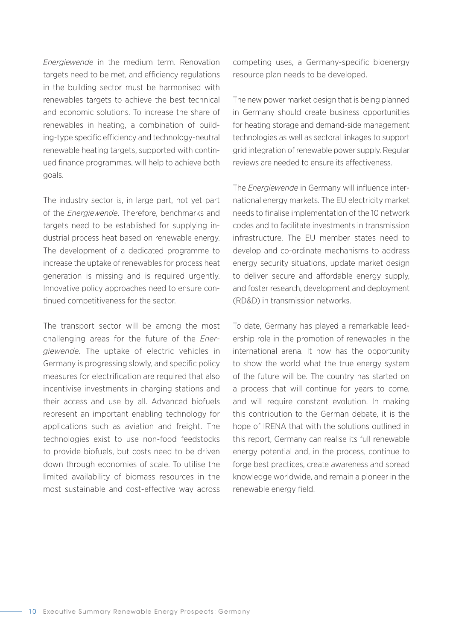*Energiewende* in the medium term. Renovation targets need to be met, and efficiency regulations in the building sector must be harmonised with renewables targets to achieve the best technical and economic solutions. To increase the share of renewables in heating, a combination of building-type specific efficiency and technology-neutral renewable heating targets, supported with continued finance programmes, will help to achieve both goals.

The industry sector is, in large part, not yet part of the *Energiewende*. Therefore, benchmarks and targets need to be established for supplying industrial process heat based on renewable energy. The development of a dedicated programme to increase the uptake of renewables for process heat generation is missing and is required urgently. Innovative policy approaches need to ensure continued competitiveness for the sector.

The transport sector will be among the most challenging areas for the future of the *Energiewende*. The uptake of electric vehicles in Germany is progressing slowly, and specific policy measures for electrification are required that also incentivise investments in charging stations and their access and use by all. Advanced biofuels represent an important enabling technology for applications such as aviation and freight. The technologies exist to use non-food feedstocks to provide biofuels, but costs need to be driven down through economies of scale. To utilise the limited availability of biomass resources in the most sustainable and cost-effective way across competing uses, a Germany-specific bioenergy resource plan needs to be developed.

The new power market design that is being planned in Germany should create business opportunities for heating storage and demand-side management technologies as well as sectoral linkages to support grid integration of renewable power supply. Regular reviews are needed to ensure its effectiveness.

The *Energiewende* in Germany will influence international energy markets. The EU electricity market needs to finalise implementation of the 10 network codes and to facilitate investments in transmission infrastructure. The EU member states need to develop and co-ordinate mechanisms to address energy security situations, update market design to deliver secure and affordable energy supply, and foster research, development and deployment (RD&D) in transmission networks.

To date, Germany has played a remarkable leadership role in the promotion of renewables in the international arena. It now has the opportunity to show the world what the true energy system of the future will be. The country has started on a process that will continue for years to come, and will require constant evolution. In making this contribution to the German debate, it is the hope of IRENA that with the solutions outlined in this report, Germany can realise its full renewable energy potential and, in the process, continue to forge best practices, create awareness and spread knowledge worldwide, and remain a pioneer in the renewable energy field.